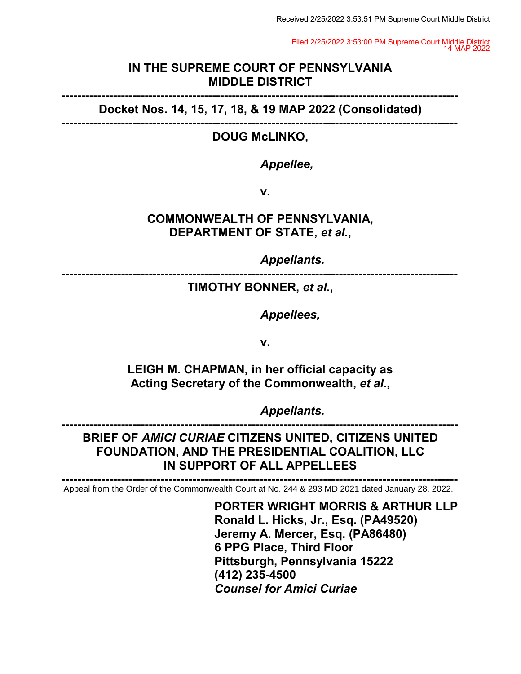Received 2/25/2022 3:53:51 PM Supreme Court Middle District

Filed 2/25/2022 3:53:00 PM Supreme Court Middle District 14 MAP 2022

### **IN THE SUPREME COURT OF PENNSYLVANIA MIDDLE DISTRICT**

**---------------------------------------------------------------------------------------------------- Docket Nos. 14, 15, 17, 18, & 19 MAP 2022 (Consolidated)**

**----------------------------------------------------------------------------------------------------** 

### **DOUG McLINKO,**

*Appellee,*

**v.**

# **COMMONWEALTH OF PENNSYLVANIA, DEPARTMENT OF STATE,** *et al.***,**

*Appellants.* 

**----------------------------------------------------------------------------------------------------** 

### **TIMOTHY BONNER,** *et al.***,**

*Appellees,*

**v.**

**LEIGH M. CHAPMAN, in her official capacity as Acting Secretary of the Commonwealth,** *et al.***,** 

*Appellants.*

**---------------------------------------------------------------------------------------------------- BRIEF OF** *AMICI CURIAE* **CITIZENS UNITED, CITIZENS UNITED FOUNDATION, AND THE PRESIDENTIAL COALITION, LLC IN SUPPORT OF ALL APPELLEES**

**----------------------------------------------------------------------------------------------------**  Appeal from the Order of the Commonwealth Court at No. 244 & 293 MD 2021 dated January 28, 2022.

> **PORTER WRIGHT MORRIS & ARTHUR LLP Ronald L. Hicks, Jr., Esq. (PA49520) Jeremy A. Mercer, Esq. (PA86480) 6 PPG Place, Third Floor Pittsburgh, Pennsylvania 15222 (412) 235-4500** *Counsel for Amici Curiae*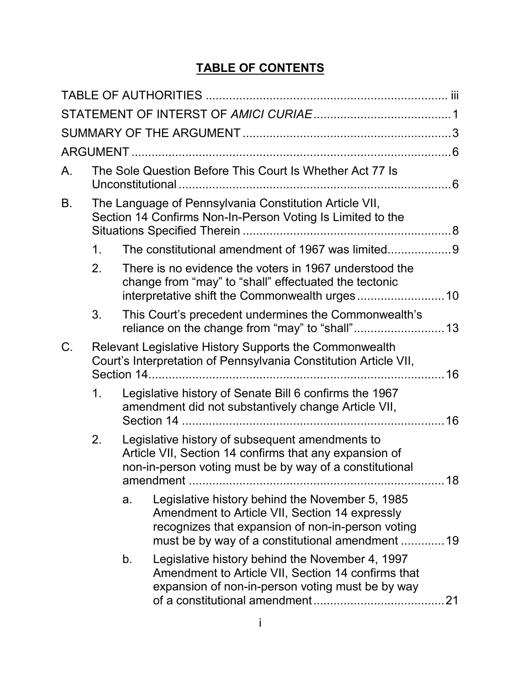# **TABLE OF CONTENTS**

| The Sole Question Before This Court Is Whether Act 77 Is<br>А.                                                             |    |                                                                                                                                                                                                            |    |
|----------------------------------------------------------------------------------------------------------------------------|----|------------------------------------------------------------------------------------------------------------------------------------------------------------------------------------------------------------|----|
| The Language of Pennsylvania Constitution Article VII,<br>Β.<br>Section 14 Confirms Non-In-Person Voting Is Limited to the |    |                                                                                                                                                                                                            |    |
| 1 <sub>1</sub>                                                                                                             |    | The constitutional amendment of 1967 was limited                                                                                                                                                           |    |
| 2.                                                                                                                         |    | There is no evidence the voters in 1967 understood the<br>change from "may" to "shall" effectuated the tectonic                                                                                            |    |
| 3.                                                                                                                         |    | This Court's precedent undermines the Commonwealth's                                                                                                                                                       |    |
| C.                                                                                                                         |    | Relevant Legislative History Supports the Commonwealth<br>Court's Interpretation of Pennsylvania Constitution Article VII,                                                                                 |    |
| 1.                                                                                                                         |    | Legislative history of Senate Bill 6 confirms the 1967<br>amendment did not substantively change Article VII,                                                                                              |    |
| 2.                                                                                                                         |    | Legislative history of subsequent amendments to<br>Article VII, Section 14 confirms that any expansion of<br>non-in-person voting must be by way of a constitutional                                       |    |
|                                                                                                                            | a. | Legislative history behind the November 5, 1985<br>Amendment to Article VII, Section 14 expressly<br>recognizes that expansion of non-in-person voting<br>must be by way of a constitutional amendment  19 |    |
|                                                                                                                            | b. | Legislative history behind the November 4, 1997<br>Amendment to Article VII, Section 14 confirms that<br>expansion of non-in-person voting must be by way                                                  | 21 |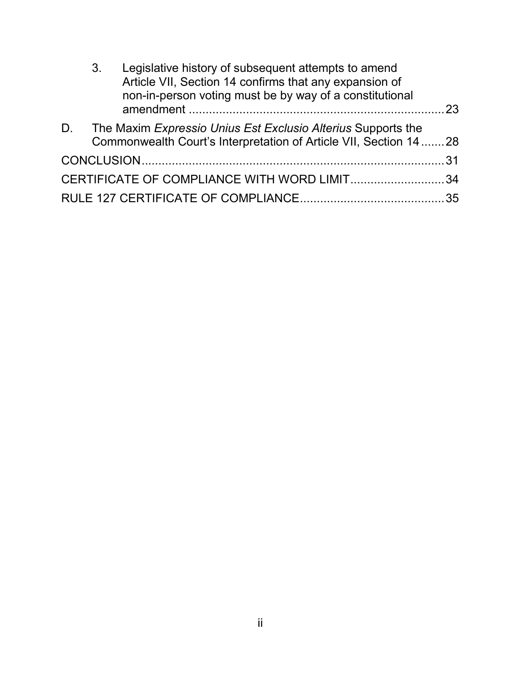| Article VII, Section 14 confirms that any expansion of<br>non-in-person voting must be by way of a constitutional |  |
|-------------------------------------------------------------------------------------------------------------------|--|
|                                                                                                                   |  |
| The Maxim Expressio Unius Est Exclusio Alterius Supports the<br>D.                                                |  |
| Commonwealth Court's Interpretation of Article VII, Section 14 28                                                 |  |
|                                                                                                                   |  |
| CERTIFICATE OF COMPLIANCE WITH WORD LIMIT34                                                                       |  |
|                                                                                                                   |  |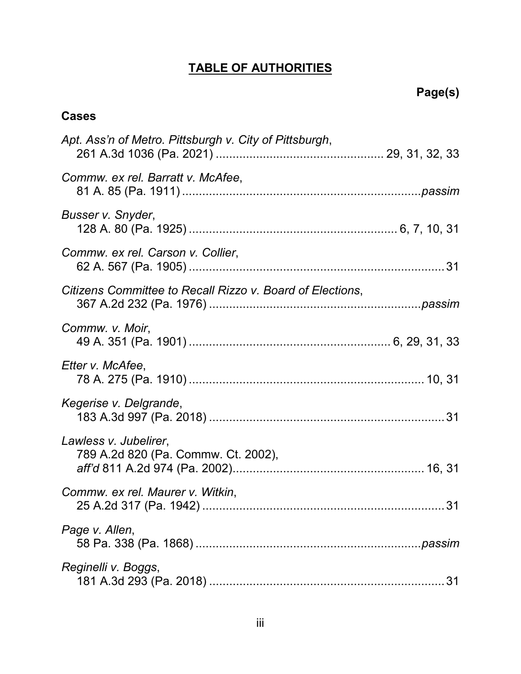# **TABLE OF AUTHORITIES**

# **Cases**

| Apt. Ass'n of Metro. Pittsburgh v. City of Pittsburgh,       |
|--------------------------------------------------------------|
| Commw. ex rel. Barratt v. McAfee,                            |
| Busser v. Snyder,                                            |
| Commw. ex rel. Carson v. Collier,                            |
| Citizens Committee to Recall Rizzo v. Board of Elections,    |
| Commw. v. Moir,                                              |
| Etter v. McAfee,                                             |
| Kegerise v. Delgrande,                                       |
| Lawless v. Jubelirer,<br>789 A.2d 820 (Pa. Commw. Ct. 2002), |
| Commw. ex rel. Maurer v. Witkin,                             |
| Page v. Allen,                                               |
| Reginelli v. Boggs,                                          |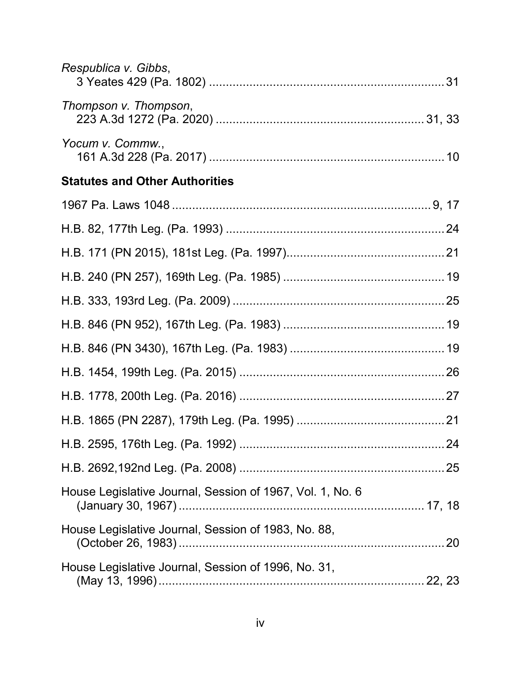| Respublica v. Gibbs,                                      |  |
|-----------------------------------------------------------|--|
| Thompson v. Thompson,                                     |  |
| Yocum v. Commw.,                                          |  |
| <b>Statutes and Other Authorities</b>                     |  |
|                                                           |  |
|                                                           |  |
|                                                           |  |
|                                                           |  |
|                                                           |  |
|                                                           |  |
|                                                           |  |
|                                                           |  |
|                                                           |  |
|                                                           |  |
|                                                           |  |
|                                                           |  |
| House Legislative Journal, Session of 1967, Vol. 1, No. 6 |  |
| House Legislative Journal, Session of 1983, No. 88,       |  |
| House Legislative Journal, Session of 1996, No. 31,       |  |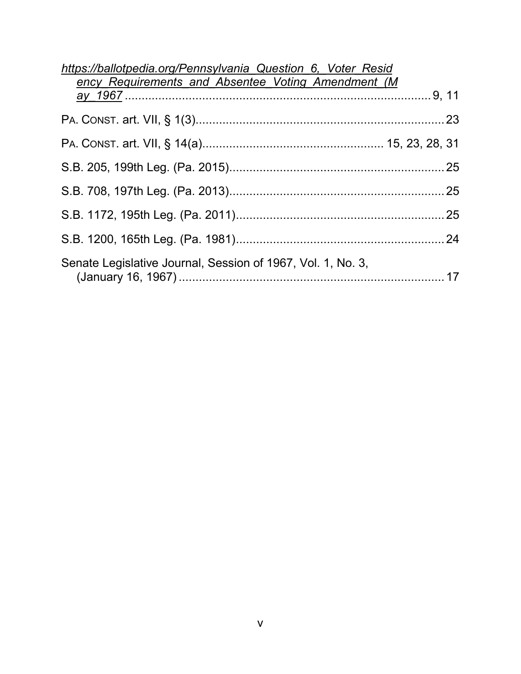| https://ballotpedia.org/Pennsylvania Question 6, Voter Resid |  |
|--------------------------------------------------------------|--|
| ency Requirements and Absentee Voting Amendment (M           |  |
|                                                              |  |
|                                                              |  |
|                                                              |  |
|                                                              |  |
|                                                              |  |
|                                                              |  |
|                                                              |  |
| Senate Legislative Journal, Session of 1967, Vol. 1, No. 3,  |  |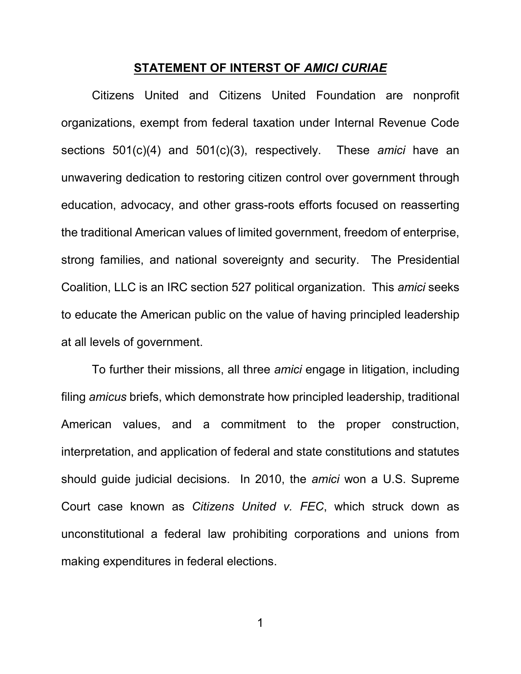#### **STATEMENT OF INTERST OF** *AMICI CURIAE*

<span id="page-6-0"></span>Citizens United and Citizens United Foundation are nonprofit organizations, exempt from federal taxation under Internal Revenue Code sections 501(c)(4) and 501(c)(3), respectively. These *amici* have an unwavering dedication to restoring citizen control over government through education, advocacy, and other grass-roots efforts focused on reasserting the traditional American values of limited government, freedom of enterprise, strong families, and national sovereignty and security. The Presidential Coalition, LLC is an IRC section 527 political organization. This *amici* seeks to educate the American public on the value of having principled leadership at all levels of government.

To further their missions, all three *amici* engage in litigation, including filing *amicus* briefs, which demonstrate how principled leadership, traditional American values, and a commitment to the proper construction, interpretation, and application of federal and state constitutions and statutes should guide judicial decisions. In 2010, the *amici* won a U.S. Supreme Court case known as *Citizens United v. FEC*, which struck down as unconstitutional a federal law prohibiting corporations and unions from making expenditures in federal elections.

1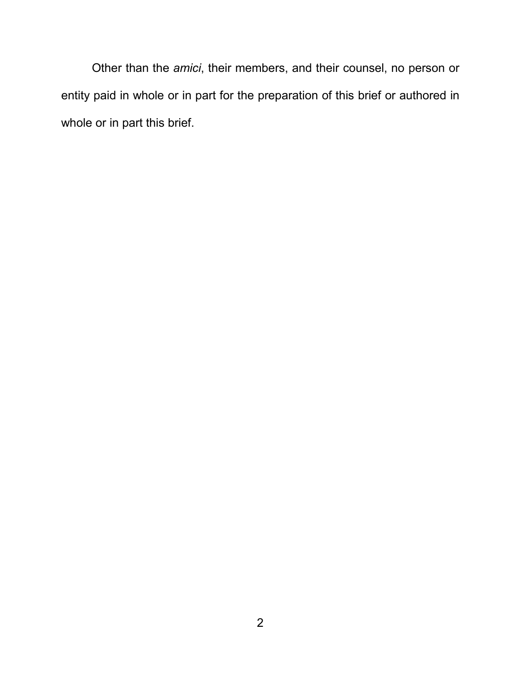Other than the *amici*, their members, and their counsel, no person or entity paid in whole or in part for the preparation of this brief or authored in whole or in part this brief.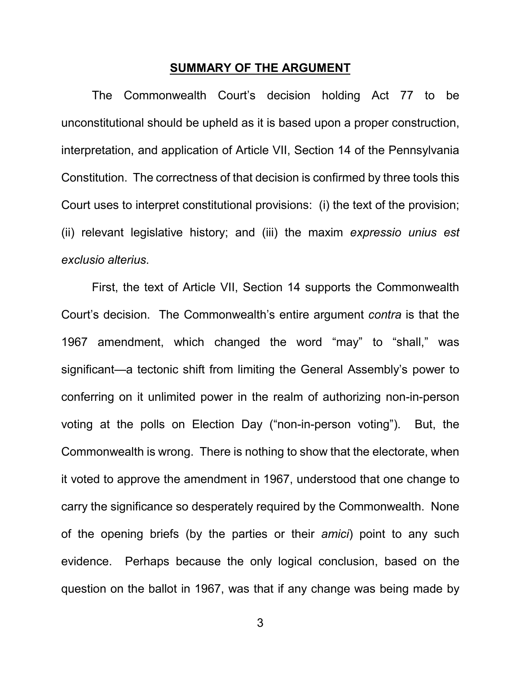#### **SUMMARY OF THE ARGUMENT**

<span id="page-8-0"></span>The Commonwealth Court's decision holding Act 77 to be unconstitutional should be upheld as it is based upon a proper construction, interpretation, and application of Article VII, Section 14 of the Pennsylvania Constitution. The correctness of that decision is confirmed by three tools this Court uses to interpret constitutional provisions: (i) the text of the provision; (ii) relevant legislative history; and (iii) the maxim *expressio unius est exclusio alterius*.

First, the text of Article VII, Section 14 supports the Commonwealth Court's decision. The Commonwealth's entire argument *contra* is that the 1967 amendment, which changed the word "may" to "shall," was significant—a tectonic shift from limiting the General Assembly's power to conferring on it unlimited power in the realm of authorizing non-in-person voting at the polls on Election Day ("non-in-person voting"). But, the Commonwealth is wrong. There is nothing to show that the electorate, when it voted to approve the amendment in 1967, understood that one change to carry the significance so desperately required by the Commonwealth. None of the opening briefs (by the parties or their *amici*) point to any such evidence. Perhaps because the only logical conclusion, based on the question on the ballot in 1967, was that if any change was being made by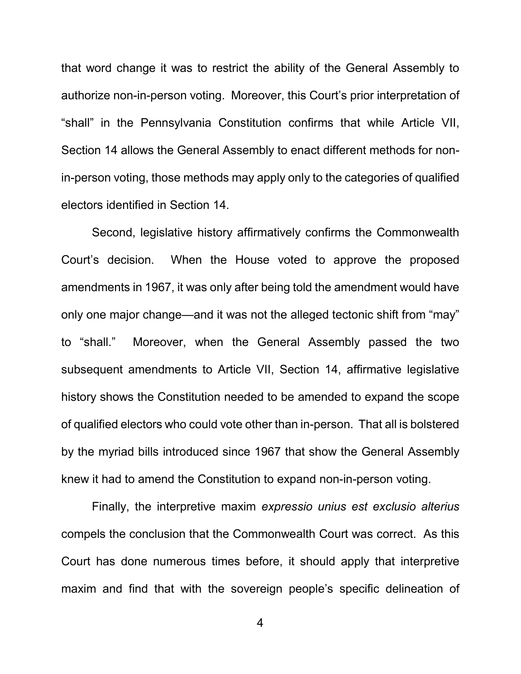that word change it was to restrict the ability of the General Assembly to authorize non-in-person voting. Moreover, this Court's prior interpretation of "shall" in the Pennsylvania Constitution confirms that while Article VII, Section 14 allows the General Assembly to enact different methods for nonin-person voting, those methods may apply only to the categories of qualified electors identified in Section 14.

Second, legislative history affirmatively confirms the Commonwealth Court's decision. When the House voted to approve the proposed amendments in 1967, it was only after being told the amendment would have only one major change—and it was not the alleged tectonic shift from "may" to "shall." Moreover, when the General Assembly passed the two subsequent amendments to Article VII, Section 14, affirmative legislative history shows the Constitution needed to be amended to expand the scope of qualified electors who could vote other than in-person. That all is bolstered by the myriad bills introduced since 1967 that show the General Assembly knew it had to amend the Constitution to expand non-in-person voting.

Finally, the interpretive maxim *expressio unius est exclusio alterius* compels the conclusion that the Commonwealth Court was correct. As this Court has done numerous times before, it should apply that interpretive maxim and find that with the sovereign people's specific delineation of

4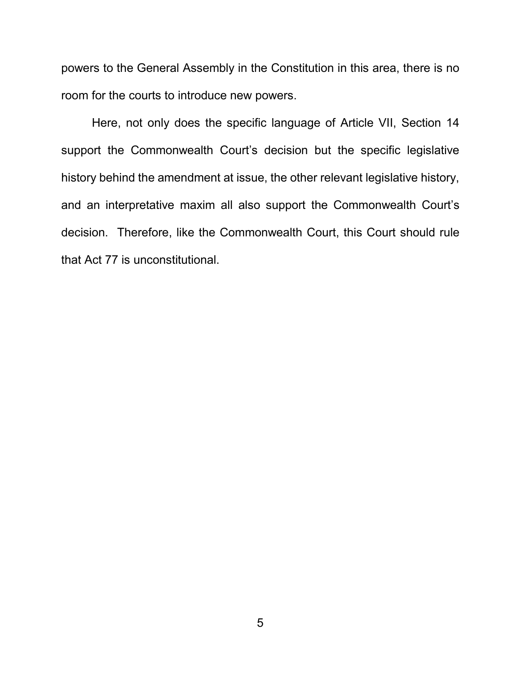powers to the General Assembly in the Constitution in this area, there is no room for the courts to introduce new powers.

Here, not only does the specific language of Article VII, Section 14 support the Commonwealth Court's decision but the specific legislative history behind the amendment at issue, the other relevant legislative history, and an interpretative maxim all also support the Commonwealth Court's decision. Therefore, like the Commonwealth Court, this Court should rule that Act 77 is unconstitutional.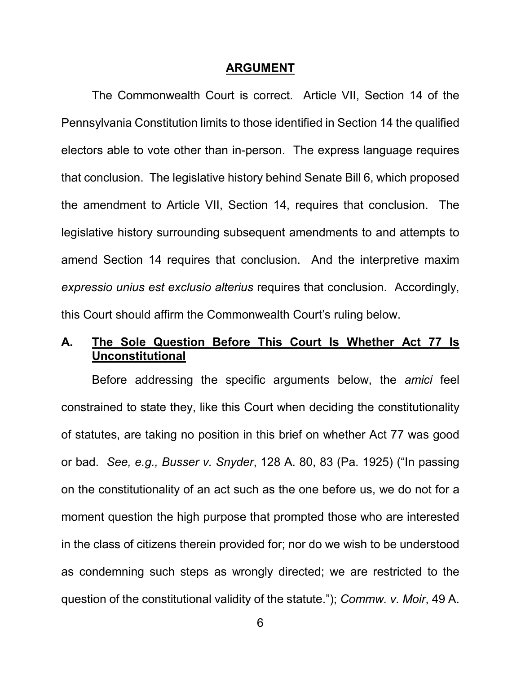#### **ARGUMENT**

<span id="page-11-0"></span>The Commonwealth Court is correct. Article VII, Section 14 of the Pennsylvania Constitution limits to those identified in Section 14 the qualified electors able to vote other than in-person. The express language requires that conclusion. The legislative history behind Senate Bill 6, which proposed the amendment to Article VII, Section 14, requires that conclusion. The legislative history surrounding subsequent amendments to and attempts to amend Section 14 requires that conclusion. And the interpretive maxim *expressio unius est exclusio alterius* requires that conclusion. Accordingly, this Court should affirm the Commonwealth Court's ruling below.

### <span id="page-11-1"></span>**A. The Sole Question Before This Court Is Whether Act 77 Is Unconstitutional**

<span id="page-11-3"></span><span id="page-11-2"></span>Before addressing the specific arguments below, the *amici* feel constrained to state they, like this Court when deciding the constitutionality of statutes, are taking no position in this brief on whether Act 77 was good or bad. *See, e.g., Busser v. Snyder*, 128 A. 80, 83 (Pa. 1925) ("In passing on the constitutionality of an act such as the one before us, we do not for a moment question the high purpose that prompted those who are interested in the class of citizens therein provided for; nor do we wish to be understood as condemning such steps as wrongly directed; we are restricted to the question of the constitutional validity of the statute."); *Commw. v. Moir*, 49 A.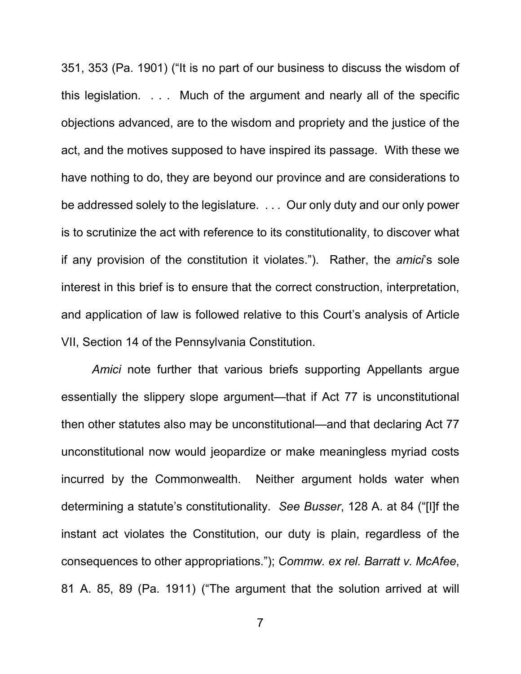351, 353 (Pa. 1901) ("It is no part of our business to discuss the wisdom of this legislation. . . . Much of the argument and nearly all of the specific objections advanced, are to the wisdom and propriety and the justice of the act, and the motives supposed to have inspired its passage. With these we have nothing to do, they are beyond our province and are considerations to be addressed solely to the legislature. . . . Our only duty and our only power is to scrutinize the act with reference to its constitutionality, to discover what if any provision of the constitution it violates."). Rather, the *amici*'s sole interest in this brief is to ensure that the correct construction, interpretation, and application of law is followed relative to this Court's analysis of Article VII, Section 14 of the Pennsylvania Constitution.

*Amici* note further that various briefs supporting Appellants argue essentially the slippery slope argument—that if Act 77 is unconstitutional then other statutes also may be unconstitutional—and that declaring Act 77 unconstitutional now would jeopardize or make meaningless myriad costs incurred by the Commonwealth. Neither argument holds water when determining a statute's constitutionality. *See Busser*, 128 A. at 84 ("[I]f the instant act violates the Constitution, our duty is plain, regardless of the consequences to other appropriations."); *Commw. ex rel. Barratt v. McAfee*, 81 A. 85, 89 (Pa. 1911) ("The argument that the solution arrived at will

<span id="page-12-1"></span><span id="page-12-0"></span>7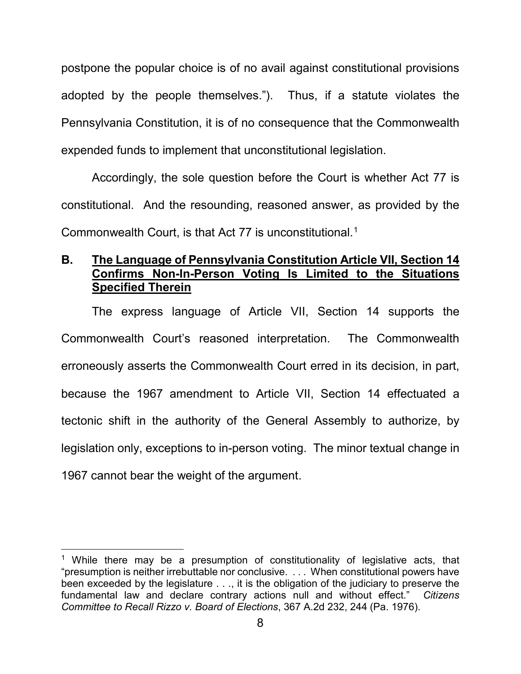postpone the popular choice is of no avail against constitutional provisions adopted by the people themselves."). Thus, if a statute violates the Pennsylvania Constitution, it is of no consequence that the Commonwealth expended funds to implement that unconstitutional legislation.

Accordingly, the sole question before the Court is whether Act 77 is constitutional. And the resounding, reasoned answer, as provided by the Commonwealth Court, is that Act 77 is unconstitutional.<sup>[1](#page-13-2)</sup>

## <span id="page-13-0"></span>**B. The Language of Pennsylvania Constitution Article VII, Section 14 Confirms Non-In-Person Voting Is Limited to the Situations Specified Therein**

The express language of Article VII, Section 14 supports the Commonwealth Court's reasoned interpretation. The Commonwealth erroneously asserts the Commonwealth Court erred in its decision, in part, because the 1967 amendment to Article VII, Section 14 effectuated a tectonic shift in the authority of the General Assembly to authorize, by legislation only, exceptions to in-person voting. The minor textual change in 1967 cannot bear the weight of the argument.

<span id="page-13-2"></span><span id="page-13-1"></span><sup>&</sup>lt;sup>1</sup> While there may be a presumption of constitutionality of legislative acts, that "presumption is neither irrebuttable nor conclusive. . . . When constitutional powers have been exceeded by the legislature . . ., it is the obligation of the judiciary to preserve the fundamental law and declare contrary actions null and without effect." *Citizens Committee to Recall Rizzo v. Board of Elections*, 367 A.2d 232, 244 (Pa. 1976).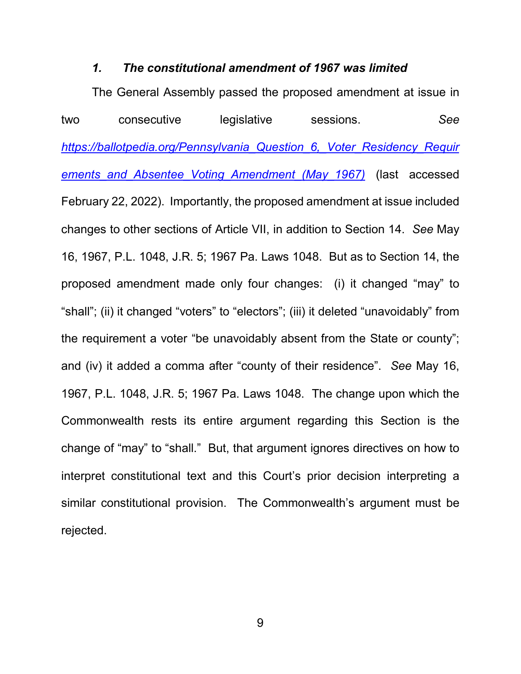#### <span id="page-14-2"></span>*1. The constitutional amendment of 1967 was limited*

<span id="page-14-3"></span><span id="page-14-0"></span>The General Assembly passed the proposed amendment at issue in two consecutive legislative sessions. *See [https://ballotpedia.org/Pennsylvania\\_Question\\_6,\\_Voter\\_Residency\\_Requir](https://ballotpedia.org/Pennsylvania_Question_6,_Voter_Residency_Requirements_and_Absentee_Voting_Amendment_(May_1967)) [ements\\_and\\_Absentee\\_Voting\\_Amendment\\_\(May\\_1967\)](https://ballotpedia.org/Pennsylvania_Question_6,_Voter_Residency_Requirements_and_Absentee_Voting_Amendment_(May_1967))* (last accessed February 22, 2022). Importantly, the proposed amendment at issue included changes to other sections of Article VII, in addition to Section 14. *See* May 16, 1967, P.L. 1048, J.R. 5; 1967 Pa. Laws 1048. But as to Section 14, the proposed amendment made only four changes: (i) it changed "may" to "shall"; (ii) it changed "voters" to "electors"; (iii) it deleted "unavoidably" from the requirement a voter "be unavoidably absent from the State or county"; and (iv) it added a comma after "county of their residence". *See* May 16, 1967, P.L. 1048, J.R. 5; 1967 Pa. Laws 1048. The change upon which the Commonwealth rests its entire argument regarding this Section is the change of "may" to "shall." But, that argument ignores directives on how to interpret constitutional text and this Court's prior decision interpreting a similar constitutional provision. The Commonwealth's argument must be rejected.

<span id="page-14-1"></span>9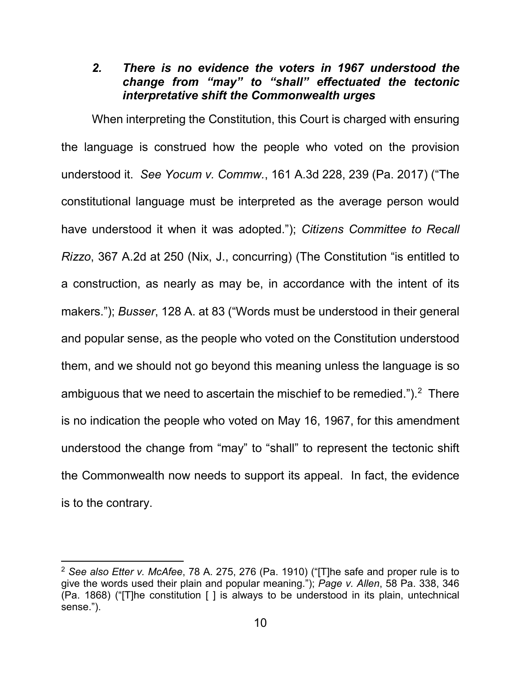### *2. There is no evidence the voters in 1967 understood the change from "may" to "shall" effectuated the tectonic interpretative shift the Commonwealth urges*

<span id="page-15-3"></span><span id="page-15-0"></span>When interpreting the Constitution, this Court is charged with ensuring the language is construed how the people who voted on the provision understood it. *See Yocum v. Commw.*, 161 A.3d 228, 239 (Pa. 2017) ("The constitutional language must be interpreted as the average person would have understood it when it was adopted."); *Citizens Committee to Recall Rizzo*, 367 A.2d at 250 (Nix, J., concurring) (The Constitution "is entitled to a construction, as nearly as may be, in accordance with the intent of its makers."); *Busser*, 128 A. at 83 ("Words must be understood in their general and popular sense, as the people who voted on the Constitution understood them, and we should not go beyond this meaning unless the language is so ambiguous that we need to ascertain the mischief to be remedied.").<sup>[2](#page-15-4)</sup> There is no indication the people who voted on May 16, 1967, for this amendment understood the change from "may" to "shall" to represent the tectonic shift the Commonwealth now needs to support its appeal. In fact, the evidence is to the contrary.

<span id="page-15-4"></span><span id="page-15-2"></span><span id="page-15-1"></span><sup>2</sup> *See also Etter v. McAfee*, 78 A. 275, 276 (Pa. 1910) ("[T]he safe and proper rule is to give the words used their plain and popular meaning."); *Page v. Allen*, 58 Pa. 338, 346 (Pa. 1868) ("[T]he constitution [ ] is always to be understood in its plain, untechnical sense.").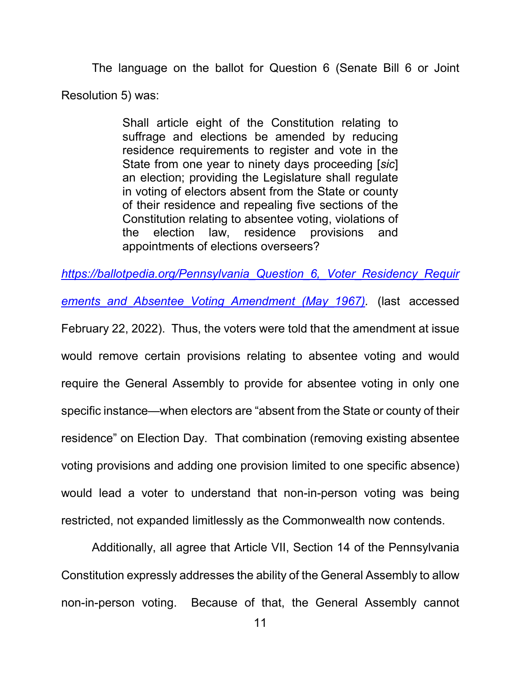The language on the ballot for Question 6 (Senate Bill 6 or Joint Resolution 5) was:

> Shall article eight of the Constitution relating to suffrage and elections be amended by reducing residence requirements to register and vote in the State from one year to ninety days proceeding [*sic*] an election; providing the Legislature shall regulate in voting of electors absent from the State or county of their residence and repealing five sections of the Constitution relating to absentee voting, violations of the election law, residence provisions and appointments of elections overseers?

<span id="page-16-0"></span>*[https://ballotpedia.org/Pennsylvania\\_Question\\_6,\\_Voter\\_Residency\\_Requir](https://ballotpedia.org/Pennsylvania_Question_6,_Voter_Residency_Requirements_and_Absentee_Voting_Amendment_(May_1967))*

*[ements\\_and\\_Absentee\\_Voting\\_Amendment\\_\(May\\_1967\).](https://ballotpedia.org/Pennsylvania_Question_6,_Voter_Residency_Requirements_and_Absentee_Voting_Amendment_(May_1967))* (last accessed

February 22, 2022). Thus, the voters were told that the amendment at issue would remove certain provisions relating to absentee voting and would require the General Assembly to provide for absentee voting in only one specific instance—when electors are "absent from the State or county of their residence" on Election Day. That combination (removing existing absentee voting provisions and adding one provision limited to one specific absence) would lead a voter to understand that non-in-person voting was being restricted, not expanded limitlessly as the Commonwealth now contends.

Additionally, all agree that Article VII, Section 14 of the Pennsylvania Constitution expressly addresses the ability of the General Assembly to allow non-in-person voting. Because of that, the General Assembly cannot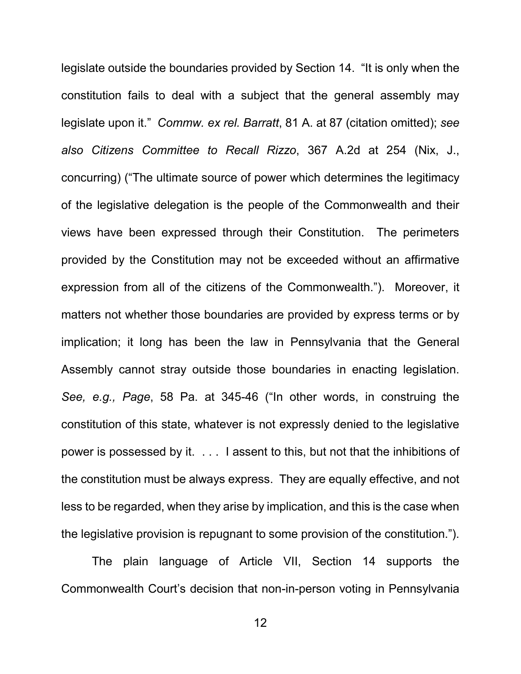legislate outside the boundaries provided by Section 14. "It is only when the constitution fails to deal with a subject that the general assembly may legislate upon it." *Commw. ex rel. Barratt*, 81 A. at 87 (citation omitted); *see also Citizens Committee to Recall Rizzo*, 367 A.2d at 254 (Nix, J., concurring) ("The ultimate source of power which determines the legitimacy of the legislative delegation is the people of the Commonwealth and their views have been expressed through their Constitution. The perimeters provided by the Constitution may not be exceeded without an affirmative expression from all of the citizens of the Commonwealth."). Moreover, it matters not whether those boundaries are provided by express terms or by implication; it long has been the law in Pennsylvania that the General Assembly cannot stray outside those boundaries in enacting legislation. *See, e.g., Page*, 58 Pa. at 345-46 ("In other words, in construing the constitution of this state, whatever is not expressly denied to the legislative power is possessed by it. . . . I assent to this, but not that the inhibitions of the constitution must be always express. They are equally effective, and not less to be regarded, when they arise by implication, and this is the case when the legislative provision is repugnant to some provision of the constitution.").

The plain language of Article VII, Section 14 supports the Commonwealth Court's decision that non-in-person voting in Pennsylvania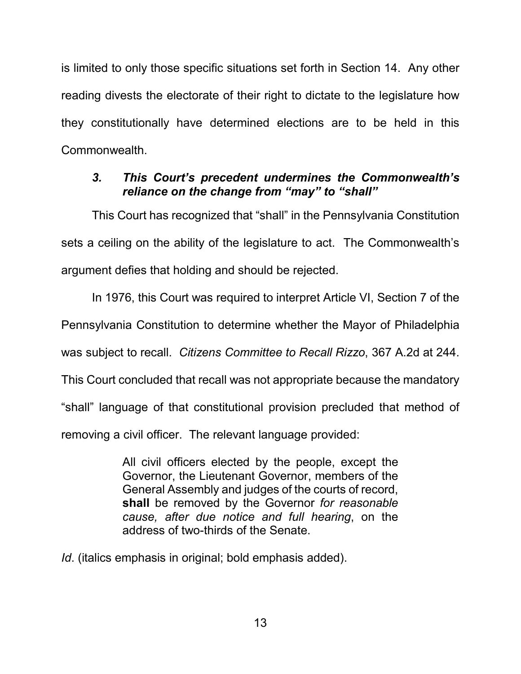is limited to only those specific situations set forth in Section 14. Any other reading divests the electorate of their right to dictate to the legislature how they constitutionally have determined elections are to be held in this Commonwealth.

# <span id="page-18-0"></span>*3. This Court's precedent undermines the Commonwealth's reliance on the change from "may" to "shall"*

This Court has recognized that "shall" in the Pennsylvania Constitution sets a ceiling on the ability of the legislature to act. The Commonwealth's argument defies that holding and should be rejected.

In 1976, this Court was required to interpret Article VI, Section 7 of the Pennsylvania Constitution to determine whether the Mayor of Philadelphia was subject to recall. *Citizens Committee to Recall Rizzo*, 367 A.2d at 244. This Court concluded that recall was not appropriate because the mandatory "shall" language of that constitutional provision precluded that method of removing a civil officer. The relevant language provided:

> All civil officers elected by the people, except the Governor, the Lieutenant Governor, members of the General Assembly and judges of the courts of record, **shall** be removed by the Governor *for reasonable cause, after due notice and full hearing*, on the address of two-thirds of the Senate.

*Id*. (italics emphasis in original; bold emphasis added).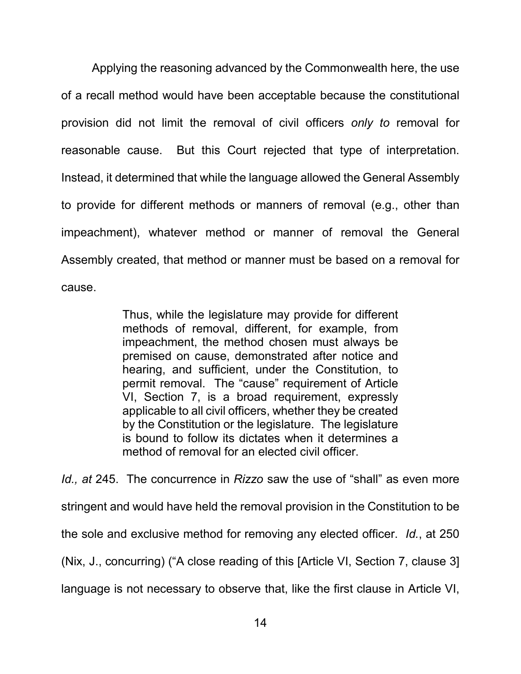Applying the reasoning advanced by the Commonwealth here, the use of a recall method would have been acceptable because the constitutional provision did not limit the removal of civil officers *only to* removal for reasonable cause. But this Court rejected that type of interpretation. Instead, it determined that while the language allowed the General Assembly to provide for different methods or manners of removal (e.g., other than impeachment), whatever method or manner of removal the General Assembly created, that method or manner must be based on a removal for cause.

> Thus, while the legislature may provide for different methods of removal, different, for example, from impeachment, the method chosen must always be premised on cause, demonstrated after notice and hearing, and sufficient, under the Constitution, to permit removal. The "cause" requirement of Article VI, Section 7, is a broad requirement, expressly applicable to all civil officers, whether they be created by the Constitution or the legislature. The legislature is bound to follow its dictates when it determines a method of removal for an elected civil officer.

*Id., at* 245. The concurrence in *Rizzo* saw the use of "shall" as even more stringent and would have held the removal provision in the Constitution to be the sole and exclusive method for removing any elected officer. *Id.*, at 250 (Nix, J., concurring) ("A close reading of this [Article VI, Section 7, clause 3] language is not necessary to observe that, like the first clause in Article VI,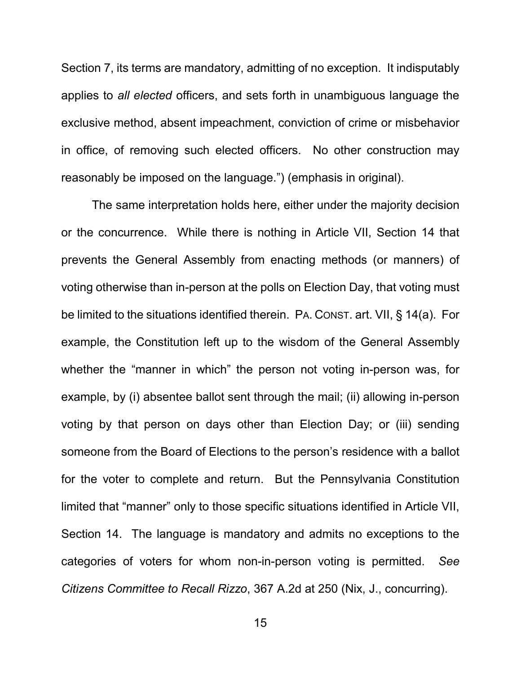Section 7, its terms are mandatory, admitting of no exception. It indisputably applies to *all elected* officers, and sets forth in unambiguous language the exclusive method, absent impeachment, conviction of crime or misbehavior in office, of removing such elected officers. No other construction may reasonably be imposed on the language.") (emphasis in original).

<span id="page-20-0"></span>The same interpretation holds here, either under the majority decision or the concurrence. While there is nothing in Article VII, Section 14 that prevents the General Assembly from enacting methods (or manners) of voting otherwise than in-person at the polls on Election Day, that voting must be limited to the situations identified therein. PA. CONST. art. VII, § 14(a). For example, the Constitution left up to the wisdom of the General Assembly whether the "manner in which" the person not voting in-person was, for example, by (i) absentee ballot sent through the mail; (ii) allowing in-person voting by that person on days other than Election Day; or (iii) sending someone from the Board of Elections to the person's residence with a ballot for the voter to complete and return. But the Pennsylvania Constitution limited that "manner" only to those specific situations identified in Article VII, Section 14. The language is mandatory and admits no exceptions to the categories of voters for whom non-in-person voting is permitted. *See Citizens Committee to Recall Rizzo*, 367 A.2d at 250 (Nix, J., concurring).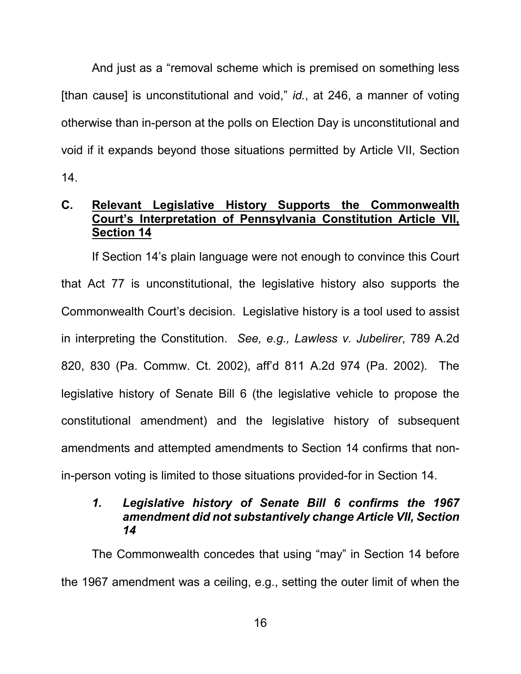And just as a "removal scheme which is premised on something less [than cause] is unconstitutional and void," *id.*, at 246, a manner of voting otherwise than in-person at the polls on Election Day is unconstitutional and void if it expands beyond those situations permitted by Article VII, Section 14.

# <span id="page-21-0"></span>**C. Relevant Legislative History Supports the Commonwealth Court's Interpretation of Pennsylvania Constitution Article VII, Section 14**

<span id="page-21-2"></span>If Section 14's plain language were not enough to convince this Court that Act 77 is unconstitutional, the legislative history also supports the Commonwealth Court's decision. Legislative history is a tool used to assist in interpreting the Constitution. *See, e.g., Lawless v. Jubelirer*, 789 A.2d 820, 830 (Pa. Commw. Ct. 2002), aff'd 811 A.2d 974 (Pa. 2002). The legislative history of Senate Bill 6 (the legislative vehicle to propose the constitutional amendment) and the legislative history of subsequent amendments and attempted amendments to Section 14 confirms that nonin-person voting is limited to those situations provided-for in Section 14.

## <span id="page-21-1"></span>*1. Legislative history of Senate Bill 6 confirms the 1967 amendment did not substantively change Article VII, Section 14*

The Commonwealth concedes that using "may" in Section 14 before the 1967 amendment was a ceiling, e.g., setting the outer limit of when the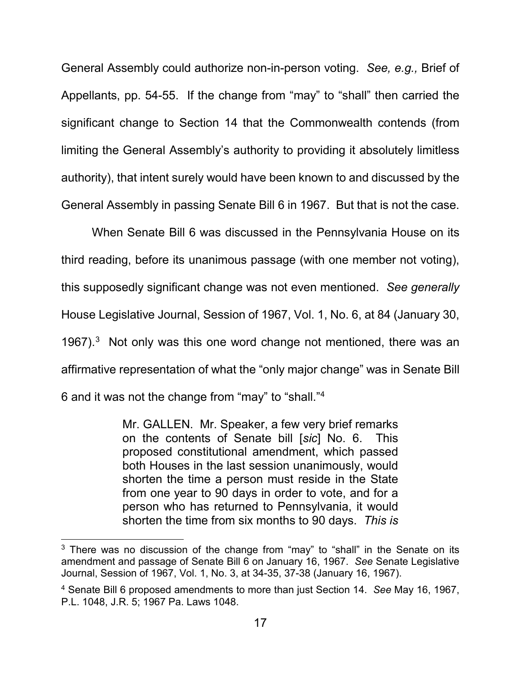General Assembly could authorize non-in-person voting. *See, e.g.,* Brief of Appellants, pp. 54-55. If the change from "may" to "shall" then carried the significant change to Section 14 that the Commonwealth contends (from limiting the General Assembly's authority to providing it absolutely limitless authority), that intent surely would have been known to and discussed by the General Assembly in passing Senate Bill 6 in 1967. But that is not the case.

When Senate Bill 6 was discussed in the Pennsylvania House on its third reading, before its unanimous passage (with one member not voting), this supposedly significant change was not even mentioned. *See generally*  House Legislative Journal, Session of 1967, Vol. 1, No. 6, at 84 (January 30, 1967). $3$  Not only was this one word change not mentioned, there was an affirmative representation of what the "only major change" was in Senate Bill 6 and it was not the change from "may" to "shall."[4](#page-22-2)

> Mr. GALLEN. Mr. Speaker, a few very brief remarks on the contents of Senate bill [*sic*] No. 6. This proposed constitutional amendment, which passed both Houses in the last session unanimously, would shorten the time a person must reside in the State from one year to 90 days in order to vote, and for a person who has returned to Pennsylvania, it would shorten the time from six months to 90 days. *This is*

<span id="page-22-1"></span> $3$  There was no discussion of the change from "may" to "shall" in the Senate on its amendment and passage of Senate Bill 6 on January 16, 1967. *See* Senate Legislative Journal, Session of 1967, Vol. 1, No. 3, at 34-35, 37-38 (January 16, 1967).

<span id="page-22-2"></span><span id="page-22-0"></span><sup>4</sup> Senate Bill 6 proposed amendments to more than just Section 14. *See* May 16, 1967, P.L. 1048, J.R. 5; 1967 Pa. Laws 1048.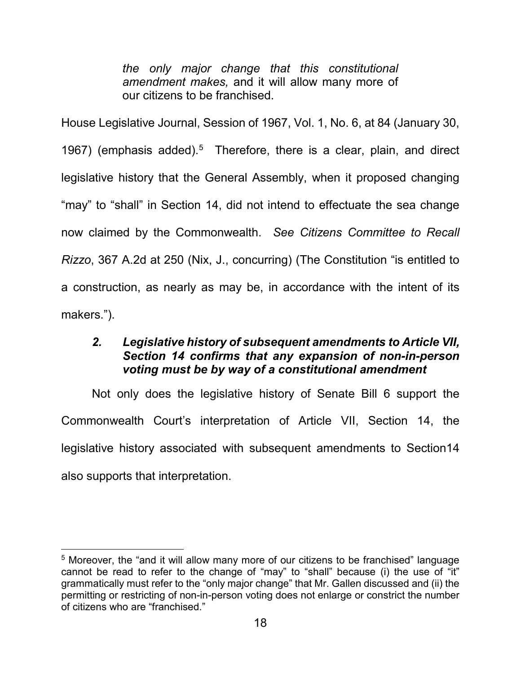*the only major change that this constitutional amendment makes,* and it will allow many more of our citizens to be franchised.

House Legislative Journal, Session of 1967, Vol. 1, No. 6, at 84 (January 30, 1967) (emphasis added).<sup>[5](#page-23-2)</sup> Therefore, there is a clear, plain, and direct legislative history that the General Assembly, when it proposed changing "may" to "shall" in Section 14, did not intend to effectuate the sea change now claimed by the Commonwealth. *See Citizens Committee to Recall Rizzo*, 367 A.2d at 250 (Nix, J., concurring) (The Constitution "is entitled to a construction, as nearly as may be, in accordance with the intent of its makers.").

# <span id="page-23-0"></span>*2. Legislative history of subsequent amendments to Article VII, Section 14 confirms that any expansion of non-in-person voting must be by way of a constitutional amendment*

Not only does the legislative history of Senate Bill 6 support the Commonwealth Court's interpretation of Article VII, Section 14, the legislative history associated with subsequent amendments to Section14 also supports that interpretation.

<span id="page-23-2"></span><span id="page-23-1"></span><sup>&</sup>lt;sup>5</sup> Moreover, the "and it will allow many more of our citizens to be franchised" language cannot be read to refer to the change of "may" to "shall" because (i) the use of "it" grammatically must refer to the "only major change" that Mr. Gallen discussed and (ii) the permitting or restricting of non-in-person voting does not enlarge or constrict the number of citizens who are "franchised."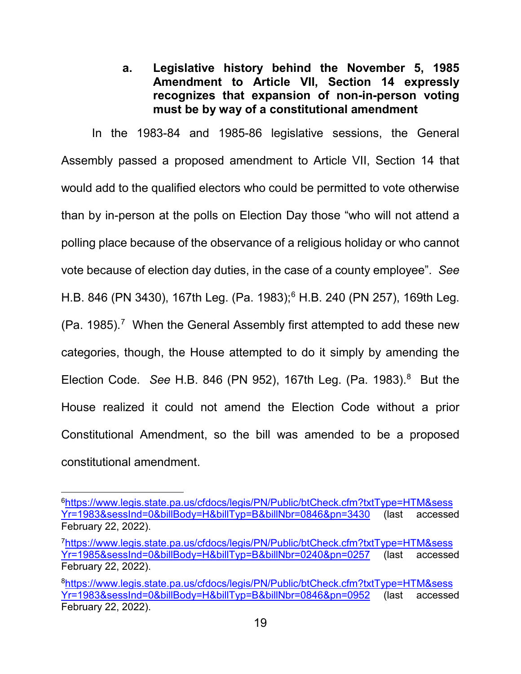**a. Legislative history behind the November 5, 1985 Amendment to Article VII, Section 14 expressly recognizes that expansion of non-in-person voting must be by way of a constitutional amendment**

In the 1983-84 and 1985-86 legislative sessions, the General Assembly passed a proposed amendment to Article VII, Section 14 that would add to the qualified electors who could be permitted to vote otherwise than by in-person at the polls on Election Day those "who will not attend a polling place because of the observance of a religious holiday or who cannot vote because of election day duties, in the case of a county employee". *See*  H.B. 846 (PN 3430), 167th Leg. (Pa. 1983); [6](#page-24-0) H.B. 240 (PN 257), 169th Leg. (Pa. 1985). [7](#page-24-1) When the General Assembly first attempted to add these new categories, though, the House attempted to do it simply by amending the Election Code. *See* H.B. 846 (PN 952), 167th Leg. (Pa. 1983). [8](#page-24-2) But the House realized it could not amend the Election Code without a prior Constitutional Amendment, so the bill was amended to be a proposed constitutional amendment.

<span id="page-24-0"></span>[6https://www.legis.state.pa.us/cfdocs/legis/PN/Public/btCheck.cfm?txtType=HTM&sess](https://www.legis.state.pa.us/cfdocs/legis/PN/Public/btCheck.cfm?txtType=HTM&sessYr=1983&sessInd=0&billBody=H&billTyp=B&billNbr=0846&pn=3430) [Yr=1983&sessInd=0&billBody=H&billTyp=B&billNbr=0846&pn=3430](https://www.legis.state.pa.us/cfdocs/legis/PN/Public/btCheck.cfm?txtType=HTM&sessYr=1983&sessInd=0&billBody=H&billTyp=B&billNbr=0846&pn=3430) (last accessed February 22, 2022).

<span id="page-24-1"></span>[<sup>7</sup>https://www.legis.state.pa.us/cfdocs/legis/PN/Public/btCheck.cfm?txtType=HTM&sess](https://www.legis.state.pa.us/cfdocs/legis/PN/Public/btCheck.cfm?txtType=HTM&sessYr=1985&sessInd=0&billBody=H&billTyp=B&billNbr=0240&pn=0257) [Yr=1985&sessInd=0&billBody=H&billTyp=B&billNbr=0240&pn=0257](https://www.legis.state.pa.us/cfdocs/legis/PN/Public/btCheck.cfm?txtType=HTM&sessYr=1985&sessInd=0&billBody=H&billTyp=B&billNbr=0240&pn=0257) (last accessed February 22, 2022).

<span id="page-24-2"></span>[<sup>8</sup>https://www.legis.state.pa.us/cfdocs/legis/PN/Public/btCheck.cfm?txtType=HTM&sess](https://www.legis.state.pa.us/cfdocs/legis/PN/Public/btCheck.cfm?txtType=HTM&sessYr=1983&sessInd=0&billBody=H&billTyp=B&billNbr=0846&pn=0952) [Yr=1983&sessInd=0&billBody=H&billTyp=B&billNbr=0846&pn=0952](https://www.legis.state.pa.us/cfdocs/legis/PN/Public/btCheck.cfm?txtType=HTM&sessYr=1983&sessInd=0&billBody=H&billTyp=B&billNbr=0846&pn=0952) (last accessed February 22, 2022).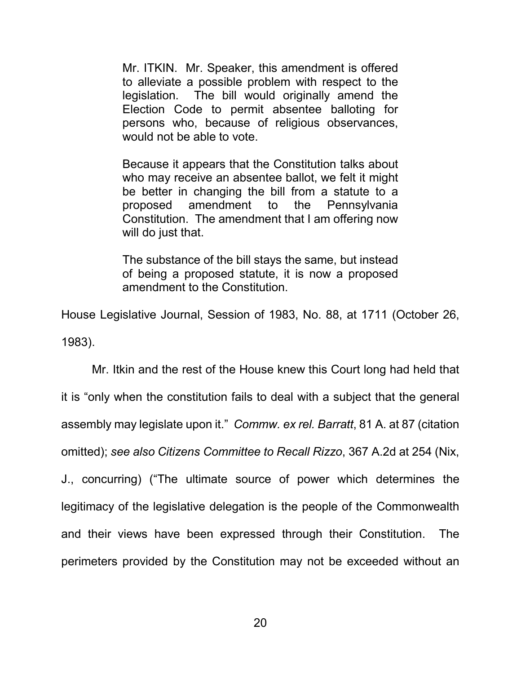Mr. ITKIN. Mr. Speaker, this amendment is offered to alleviate a possible problem with respect to the legislation. The bill would originally amend the Election Code to permit absentee balloting for persons who, because of religious observances, would not be able to vote.

Because it appears that the Constitution talks about who may receive an absentee ballot, we felt it might be better in changing the bill from a statute to a proposed amendment to the Pennsylvania Constitution. The amendment that I am offering now will do just that.

The substance of the bill stays the same, but instead of being a proposed statute, it is now a proposed amendment to the Constitution.

House Legislative Journal, Session of 1983, No. 88, at 1711 (October 26, 1983).

Mr. Itkin and the rest of the House knew this Court long had held that it is "only when the constitution fails to deal with a subject that the general assembly may legislate upon it." *Commw. ex rel. Barratt*, 81 A. at 87 (citation omitted); *see also Citizens Committee to Recall Rizzo*, 367 A.2d at 254 (Nix, J., concurring) ("The ultimate source of power which determines the legitimacy of the legislative delegation is the people of the Commonwealth and their views have been expressed through their Constitution. The perimeters provided by the Constitution may not be exceeded without an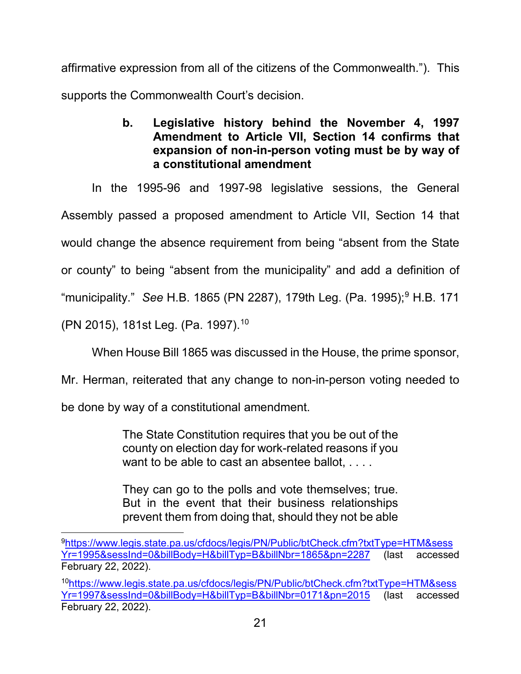<span id="page-26-0"></span>affirmative expression from all of the citizens of the Commonwealth."). This supports the Commonwealth Court's decision.

> **b. Legislative history behind the November 4, 1997 Amendment to Article VII, Section 14 confirms that expansion of non-in-person voting must be by way of a constitutional amendment**

In the 1995-96 and 1997-98 legislative sessions, the General Assembly passed a proposed amendment to Article VII, Section 14 that

would change the absence requirement from being "absent from the State

or county" to being "absent from the municipality" and add a definition of

"municipality." *See* H.B. 1865 (PN 2287), 179th Leg. (Pa. 1995); [9](#page-26-1) H.B. 171

(PN 2015), 181st Leg. (Pa. 1997). [10](#page-26-2)

When House Bill 1865 was discussed in the House, the prime sponsor,

Mr. Herman, reiterated that any change to non-in-person voting needed to

be done by way of a constitutional amendment.

The State Constitution requires that you be out of the county on election day for work-related reasons if you want to be able to cast an absentee ballot, ....

They can go to the polls and vote themselves; true. But in the event that their business relationships prevent them from doing that, should they not be able

<span id="page-26-2"></span>1[0https://www.legis.state.pa.us/cfdocs/legis/PN/Public/btCheck.cfm?txtType=HTM&sess](https://www.legis.state.pa.us/cfdocs/legis/PN/Public/btCheck.cfm?txtType=HTM&sessYr=1997&sessInd=0&billBody=H&billTyp=B&billNbr=0171&pn=2015) [Yr=1997&sessInd=0&billBody=H&billTyp=B&billNbr=0171&pn=2015](https://www.legis.state.pa.us/cfdocs/legis/PN/Public/btCheck.cfm?txtType=HTM&sessYr=1997&sessInd=0&billBody=H&billTyp=B&billNbr=0171&pn=2015) (last accessed February 22, 2022).

<span id="page-26-1"></span>[9https://www.legis.state.pa.us/cfdocs/legis/PN/Public/btCheck.cfm?txtType=HTM&sess](https://www.legis.state.pa.us/cfdocs/legis/PN/Public/btCheck.cfm?txtType=HTM&sessYr=1995&sessInd=0&billBody=H&billTyp=B&billNbr=1865&pn=2287) [Yr=1995&sessInd=0&billBody=H&billTyp=B&billNbr=1865&pn=2287](https://www.legis.state.pa.us/cfdocs/legis/PN/Public/btCheck.cfm?txtType=HTM&sessYr=1995&sessInd=0&billBody=H&billTyp=B&billNbr=1865&pn=2287) (last accessed February 22, 2022).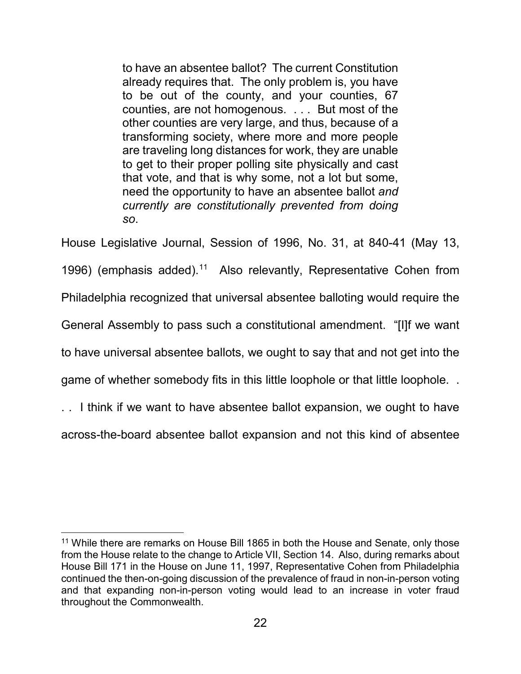to have an absentee ballot? The current Constitution already requires that. The only problem is, you have to be out of the county, and your counties, 67 counties, are not homogenous. . . . But most of the other counties are very large, and thus, because of a transforming society, where more and more people are traveling long distances for work, they are unable to get to their proper polling site physically and cast that vote, and that is why some, not a lot but some, need the opportunity to have an absentee ballot *and currently are constitutionally prevented from doing so*.

House Legislative Journal, Session of 1996, No. 31, at 840-41 (May 13, 1996) (emphasis added).<sup>[11](#page-27-0)</sup> Also relevantly, Representative Cohen from Philadelphia recognized that universal absentee balloting would require the General Assembly to pass such a constitutional amendment. "[I]f we want to have universal absentee ballots, we ought to say that and not get into the game of whether somebody fits in this little loophole or that little loophole. .

. . I think if we want to have absentee ballot expansion, we ought to have across-the-board absentee ballot expansion and not this kind of absentee

<span id="page-27-0"></span><sup>&</sup>lt;sup>11</sup> While there are remarks on House Bill 1865 in both the House and Senate, only those from the House relate to the change to Article VII, Section 14. Also, during remarks about House Bill 171 in the House on June 11, 1997, Representative Cohen from Philadelphia continued the then-on-going discussion of the prevalence of fraud in non-in-person voting and that expanding non-in-person voting would lead to an increase in voter fraud throughout the Commonwealth.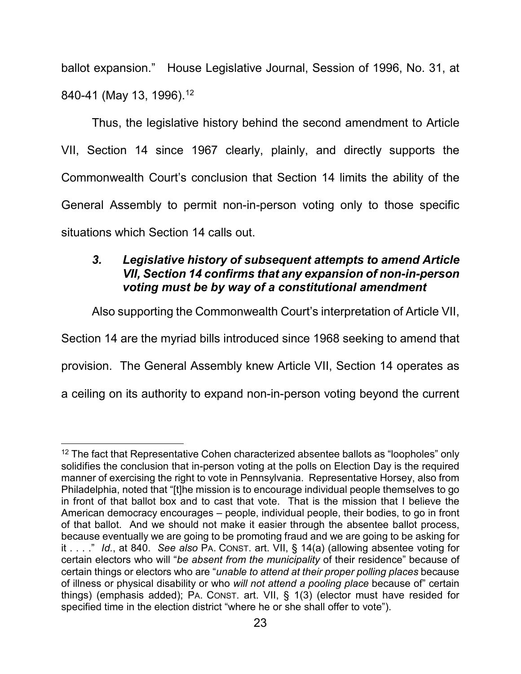ballot expansion." House Legislative Journal, Session of 1996, No. 31, at 840-41 (May 13, 1996). [12](#page-28-2)

Thus, the legislative history behind the second amendment to Article VII, Section 14 since 1967 clearly, plainly, and directly supports the Commonwealth Court's conclusion that Section 14 limits the ability of the General Assembly to permit non-in-person voting only to those specific situations which Section 14 calls out.

# <span id="page-28-0"></span>*3. Legislative history of subsequent attempts to amend Article VII, Section 14 confirms that any expansion of non-in-person voting must be by way of a constitutional amendment*

Also supporting the Commonwealth Court's interpretation of Article VII,

Section 14 are the myriad bills introduced since 1968 seeking to amend that

provision. The General Assembly knew Article VII, Section 14 operates as

a ceiling on its authority to expand non-in-person voting beyond the current

<span id="page-28-2"></span><span id="page-28-1"></span> $12$  The fact that Representative Cohen characterized absentee ballots as "loopholes" only solidifies the conclusion that in-person voting at the polls on Election Day is the required manner of exercising the right to vote in Pennsylvania. Representative Horsey, also from Philadelphia, noted that "[t]he mission is to encourage individual people themselves to go in front of that ballot box and to cast that vote. That is the mission that I believe the American democracy encourages – people, individual people, their bodies, to go in front of that ballot. And we should not make it easier through the absentee ballot process, because eventually we are going to be promoting fraud and we are going to be asking for it . . . ." *Id.*, at 840. *See also* PA. CONST. art. VII, § 14(a) (allowing absentee voting for certain electors who will "*be absent from the municipality* of their residence" because of certain things or electors who are "*unable to attend at their proper polling places* because of illness or physical disability or who *will not attend a pooling place* because of" certain things) (emphasis added); PA. CONST. art. VII, § 1(3) (elector must have resided for specified time in the election district "where he or she shall offer to vote").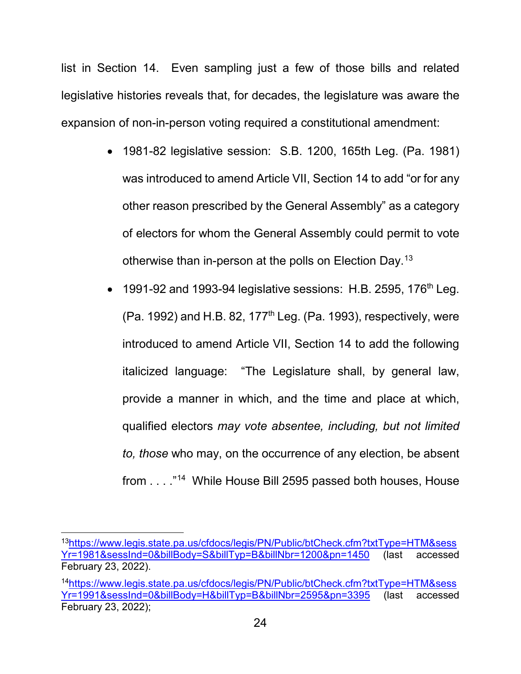list in Section 14. Even sampling just a few of those bills and related legislative histories reveals that, for decades, the legislature was aware the expansion of non-in-person voting required a constitutional amendment:

- 1981-82 legislative session: S.B. 1200, 165th Leg. (Pa. 1981) was introduced to amend Article VII, Section 14 to add "or for any other reason prescribed by the General Assembly" as a category of electors for whom the General Assembly could permit to vote otherwise than in-person at the polls on Election Day.<sup>[13](#page-29-0)</sup>
- 1991-92 and 1993-94 legislative sessions: H.B. 2595, 176<sup>th</sup> Leg. (Pa. 1992) and H.B. 82, 177<sup>th</sup> Leg. (Pa. 1993), respectively, were introduced to amend Article VII, Section 14 to add the following italicized language: "The Legislature shall, by general law, provide a manner in which, and the time and place at which, qualified electors *may vote absentee, including, but not limited to, those* who may, on the occurrence of any election, be absent from . . . ."[14](#page-29-1) While House Bill 2595 passed both houses, House

<span id="page-29-0"></span>1[3https://www.legis.state.pa.us/cfdocs/legis/PN/Public/btCheck.cfm?txtType=HTM&sess](https://www.legis.state.pa.us/cfdocs/legis/PN/Public/btCheck.cfm?txtType=HTM&sessYr=1981&sessInd=0&billBody=S&billTyp=B&billNbr=1200&pn=1450) [Yr=1981&sessInd=0&billBody=S&billTyp=B&billNbr=1200&pn=1450](https://www.legis.state.pa.us/cfdocs/legis/PN/Public/btCheck.cfm?txtType=HTM&sessYr=1981&sessInd=0&billBody=S&billTyp=B&billNbr=1200&pn=1450) (last accessed February 23, 2022).

<span id="page-29-1"></span><sup>1</sup>[4https://www.legis.state.pa.us/cfdocs/legis/PN/Public/btCheck.cfm?txtType=HTM&sess](https://www.legis.state.pa.us/cfdocs/legis/PN/Public/btCheck.cfm?txtType=HTM&sessYr=1991&sessInd=0&billBody=H&billTyp=B&billNbr=2595&pn=3395) [Yr=1991&sessInd=0&billBody=H&billTyp=B&billNbr=2595&pn=3395](https://www.legis.state.pa.us/cfdocs/legis/PN/Public/btCheck.cfm?txtType=HTM&sessYr=1991&sessInd=0&billBody=H&billTyp=B&billNbr=2595&pn=3395) (last accessed February 23, 2022);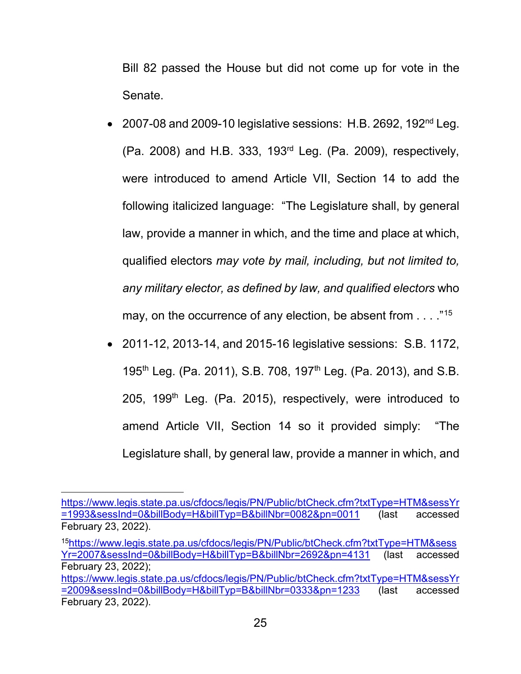Bill 82 passed the House but did not come up for vote in the Senate.

- 2007-08 and 2009-10 legislative sessions: H.B. 2692, 192<sup>nd</sup> Leg. (Pa. 2008) and H.B. 333, 193rd Leg. (Pa. 2009), respectively, were introduced to amend Article VII, Section 14 to add the following italicized language: "The Legislature shall, by general law, provide a manner in which, and the time and place at which, qualified electors *may vote by mail, including, but not limited to, any military elector, as defined by law, and qualified electors* who may, on the occurrence of any election, be absent from . . . . "<sup>[15](#page-30-0)</sup>
- 2011-12, 2013-14, and 2015-16 legislative sessions: S.B. 1172, 195<sup>th</sup> Leg. (Pa. 2011), S.B. 708, 197<sup>th</sup> Leg. (Pa. 2013), and S.B. 205, 199<sup>th</sup> Leg. (Pa. 2015), respectively, were introduced to amend Article VII, Section 14 so it provided simply: "The Legislature shall, by general law, provide a manner in which, and

I [https://www.legis.state.pa.us/cfdocs/legis/PN/Public/btCheck.cfm?txtType=HTM&sessYr](https://www.legis.state.pa.us/cfdocs/legis/PN/Public/btCheck.cfm?txtType=HTM&sessYr=1993&sessInd=0&billBody=H&billTyp=B&billNbr=0082&pn=0011) [=1993&sessInd=0&billBody=H&billTyp=B&billNbr=0082&pn=0011](https://www.legis.state.pa.us/cfdocs/legis/PN/Public/btCheck.cfm?txtType=HTM&sessYr=1993&sessInd=0&billBody=H&billTyp=B&billNbr=0082&pn=0011) (last accessed February 23, 2022).

<span id="page-30-0"></span><sup>1</sup>[5https://www.legis.state.pa.us/cfdocs/legis/PN/Public/btCheck.cfm?txtType=HTM&sess](https://www.legis.state.pa.us/cfdocs/legis/PN/Public/btCheck.cfm?txtType=HTM&sessYr=2007&sessInd=0&billBody=H&billTyp=B&billNbr=2692&pn=4131) [Yr=2007&sessInd=0&billBody=H&billTyp=B&billNbr=2692&pn=4131](https://www.legis.state.pa.us/cfdocs/legis/PN/Public/btCheck.cfm?txtType=HTM&sessYr=2007&sessInd=0&billBody=H&billTyp=B&billNbr=2692&pn=4131) (last accessed February 23, 2022);

[https://www.legis.state.pa.us/cfdocs/legis/PN/Public/btCheck.cfm?txtType=HTM&sessYr](https://www.legis.state.pa.us/cfdocs/legis/PN/Public/btCheck.cfm?txtType=HTM&sessYr=2009&sessInd=0&billBody=H&billTyp=B&billNbr=0333&pn=1233) [=2009&sessInd=0&billBody=H&billTyp=B&billNbr=0333&pn=1233](https://www.legis.state.pa.us/cfdocs/legis/PN/Public/btCheck.cfm?txtType=HTM&sessYr=2009&sessInd=0&billBody=H&billTyp=B&billNbr=0333&pn=1233) (last accessed February 23, 2022).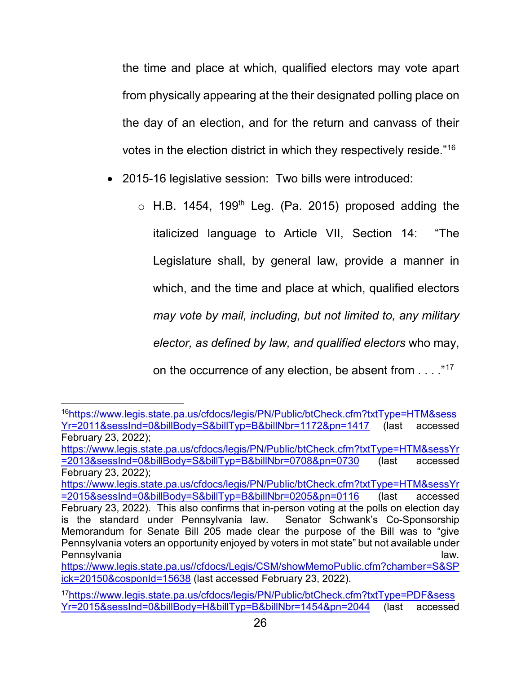the time and place at which, qualified electors may vote apart from physically appearing at the their designated polling place on the day of an election, and for the return and canvass of their votes in the election district in which they respectively reside."[16](#page-31-0)

- 2015-16 legislative session: Two bills were introduced:
	- $\circ$  H.B. 1454, 199<sup>th</sup> Leg. (Pa. 2015) proposed adding the italicized language to Article VII, Section 14: "The Legislature shall, by general law, provide a manner in which, and the time and place at which, qualified electors *may vote by mail, including, but not limited to, any military elector, as defined by law, and qualified electors* who may, on the occurrence of any election, be absent from . . . ."[17](#page-31-1)

[https://www.legis.state.pa.us/cfdocs/legis/PN/Public/btCheck.cfm?txtType=HTM&sessYr](https://www.legis.state.pa.us/cfdocs/legis/PN/Public/btCheck.cfm?txtType=HTM&sessYr=2015&sessInd=0&billBody=S&billTyp=B&billNbr=0205&pn=0116) [=2015&sessInd=0&billBody=S&billTyp=B&billNbr=0205&pn=0116](https://www.legis.state.pa.us/cfdocs/legis/PN/Public/btCheck.cfm?txtType=HTM&sessYr=2015&sessInd=0&billBody=S&billTyp=B&billNbr=0205&pn=0116) (last accessed February 23, 2022). This also confirms that in-person voting at the polls on election day

<span id="page-31-0"></span>1[6https://www.legis.state.pa.us/cfdocs/legis/PN/Public/btCheck.cfm?txtType=HTM&sess](https://www.legis.state.pa.us/cfdocs/legis/PN/Public/btCheck.cfm?txtType=HTM&sessYr=2011&sessInd=0&billBody=S&billTyp=B&billNbr=1172&pn=1417) [Yr=2011&sessInd=0&billBody=S&billTyp=B&billNbr=1172&pn=1417](https://www.legis.state.pa.us/cfdocs/legis/PN/Public/btCheck.cfm?txtType=HTM&sessYr=2011&sessInd=0&billBody=S&billTyp=B&billNbr=1172&pn=1417) (last accessed February 23, 2022);

[https://www.legis.state.pa.us/cfdocs/legis/PN/Public/btCheck.cfm?txtType=HTM&sessYr](https://www.legis.state.pa.us/cfdocs/legis/PN/Public/btCheck.cfm?txtType=HTM&sessYr=2013&sessInd=0&billBody=S&billTyp=B&billNbr=0708&pn=0730) [=2013&sessInd=0&billBody=S&billTyp=B&billNbr=0708&pn=0730](https://www.legis.state.pa.us/cfdocs/legis/PN/Public/btCheck.cfm?txtType=HTM&sessYr=2013&sessInd=0&billBody=S&billTyp=B&billNbr=0708&pn=0730) (last accessed February 23, 2022);

is the standard under Pennsylvania law. Senator Schwank's Co-Sponsorship Memorandum for Senate Bill 205 made clear the purpose of the Bill was to "give Pennsylvania voters an opportunity enjoyed by voters in mot state" but not available under Pennsylvania law. **Pennsylvania** law.

[https://www.legis.state.pa.us//cfdocs/Legis/CSM/showMemoPublic.cfm?chamber=S&SP](https://www.legis.state.pa.us/cfdocs/Legis/CSM/showMemoPublic.cfm?chamber=S&SPick=20150&cosponId=15638) [ick=20150&cosponId=15638](https://www.legis.state.pa.us/cfdocs/Legis/CSM/showMemoPublic.cfm?chamber=S&SPick=20150&cosponId=15638) (last accessed February 23, 2022).

<span id="page-31-1"></span><sup>1</sup>[7https://www.legis.state.pa.us/cfdocs/legis/PN/Public/btCheck.cfm?txtType=PDF&sess](https://www.legis.state.pa.us/cfdocs/legis/PN/Public/btCheck.cfm?txtType=PDF&sessYr=2015&sessInd=0&billBody=H&billTyp=B&billNbr=1454&pn=2044) [Yr=2015&sessInd=0&billBody=H&billTyp=B&billNbr=1454&pn=2044](https://www.legis.state.pa.us/cfdocs/legis/PN/Public/btCheck.cfm?txtType=PDF&sessYr=2015&sessInd=0&billBody=H&billTyp=B&billNbr=1454&pn=2044) (last accessed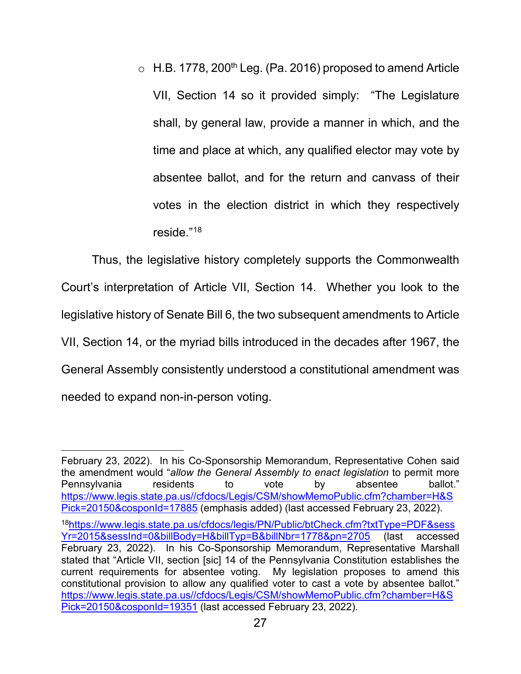$\circ$  H.B. 1778, 200<sup>th</sup> Leg. (Pa. 2016) proposed to amend Article VII, Section 14 so it provided simply: "The Legislature shall, by general law, provide a manner in which, and the time and place at which, any qualified elector may vote by absentee ballot, and for the return and canvass of their votes in the election district in which they respectively reside."[18](#page-32-0)

Thus, the legislative history completely supports the Commonwealth Court's interpretation of Article VII, Section 14. Whether you look to the legislative history of Senate Bill 6, the two subsequent amendments to Article VII, Section 14, or the myriad bills introduced in the decades after 1967, the General Assembly consistently understood a constitutional amendment was needed to expand non-in-person voting.

i<br>I February 23, 2022). In his Co-Sponsorship Memorandum, Representative Cohen said the amendment would "*allow the General Assembly to enact legislation* to permit more Pennsylvania residents to vote by absentee ballot." [https://www.legis.state.pa.us//cfdocs/Legis/CSM/showMemoPublic.cfm?chamber=H&S](https://www.legis.state.pa.us/cfdocs/Legis/CSM/showMemoPublic.cfm?chamber=H&SPick=20150&cosponId=17885) [Pick=20150&cosponId=17885](https://www.legis.state.pa.us/cfdocs/Legis/CSM/showMemoPublic.cfm?chamber=H&SPick=20150&cosponId=17885) (emphasis added) (last accessed February 23, 2022).

<span id="page-32-0"></span><sup>1</sup>[8https://www.legis.state.pa.us/cfdocs/legis/PN/Public/btCheck.cfm?txtType=PDF&sess](https://www.legis.state.pa.us/cfdocs/legis/PN/Public/btCheck.cfm?txtType=PDF&sessYr=2015&sessInd=0&billBody=H&billTyp=B&billNbr=1778&pn=2705) [Yr=2015&sessInd=0&billBody=H&billTyp=B&billNbr=1778&pn=2705](https://www.legis.state.pa.us/cfdocs/legis/PN/Public/btCheck.cfm?txtType=PDF&sessYr=2015&sessInd=0&billBody=H&billTyp=B&billNbr=1778&pn=2705) (last accessed February 23, 2022). In his Co-Sponsorship Memorandum, Representative Marshall stated that "Article VII, section [sic] 14 of the Pennsylvania Constitution establishes the current requirements for absentee voting. My legislation proposes to amend this constitutional provision to allow any qualified voter to cast a vote by absentee ballot." [https://www.legis.state.pa.us//cfdocs/Legis/CSM/showMemoPublic.cfm?chamber=H&S](https://www.legis.state.pa.us/cfdocs/Legis/CSM/showMemoPublic.cfm?chamber=H&SPick=20150&cosponId=19351) [Pick=20150&cosponId=19351](https://www.legis.state.pa.us/cfdocs/Legis/CSM/showMemoPublic.cfm?chamber=H&SPick=20150&cosponId=19351) (last accessed February 23, 2022).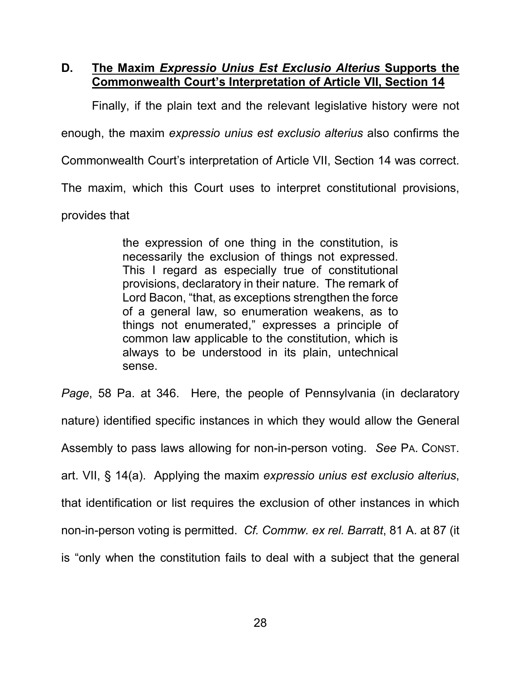### <span id="page-33-0"></span>**D. The Maxim** *Expressio Unius Est Exclusio Alterius* **Supports the Commonwealth Court's Interpretation of Article VII, Section 14**

Finally, if the plain text and the relevant legislative history were not

enough, the maxim *expressio unius est exclusio alterius* also confirms the

Commonwealth Court's interpretation of Article VII, Section 14 was correct.

The maxim, which this Court uses to interpret constitutional provisions,

provides that

the expression of one thing in the constitution, is necessarily the exclusion of things not expressed. This I regard as especially true of constitutional provisions, declaratory in their nature. The remark of Lord Bacon, "that, as exceptions strengthen the force of a general law, so enumeration weakens, as to things not enumerated," expresses a principle of common law applicable to the constitution, which is always to be understood in its plain, untechnical sense.

<span id="page-33-1"></span>*Page*, 58 Pa. at 346. Here, the people of Pennsylvania (in declaratory nature) identified specific instances in which they would allow the General Assembly to pass laws allowing for non-in-person voting. *See* PA. CONST. art. VII, § 14(a). Applying the maxim *expressio unius est exclusio alterius*, that identification or list requires the exclusion of other instances in which non-in-person voting is permitted. *Cf. Commw. ex rel. Barratt*, 81 A. at 87 (it is "only when the constitution fails to deal with a subject that the general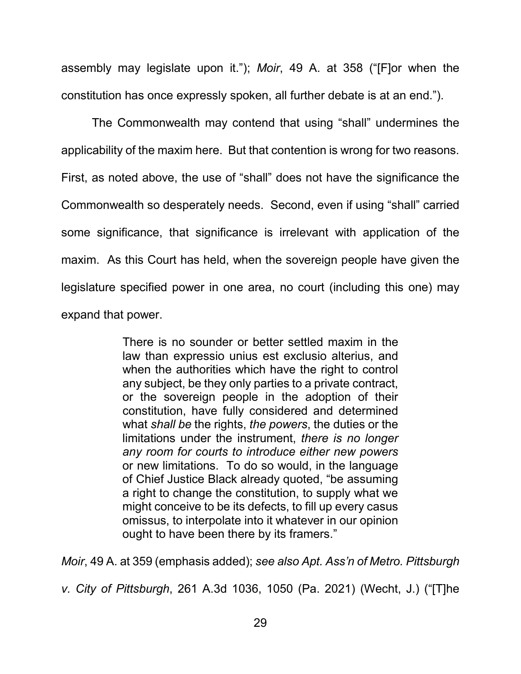<span id="page-34-1"></span>assembly may legislate upon it."); *Moir*, 49 A. at 358 ("[F]or when the constitution has once expressly spoken, all further debate is at an end.").

The Commonwealth may contend that using "shall" undermines the applicability of the maxim here. But that contention is wrong for two reasons. First, as noted above, the use of "shall" does not have the significance the Commonwealth so desperately needs. Second, even if using "shall" carried some significance, that significance is irrelevant with application of the maxim. As this Court has held, when the sovereign people have given the legislature specified power in one area, no court (including this one) may expand that power.

> There is no sounder or better settled maxim in the law than expressio unius est exclusio alterius, and when the authorities which have the right to control any subject, be they only parties to a private contract, or the sovereign people in the adoption of their constitution, have fully considered and determined what *shall be* the rights, *the powers*, the duties or the limitations under the instrument, *there is no longer any room for courts to introduce either new powers*  or new limitations. To do so would, in the language of Chief Justice Black already quoted, "be assuming a right to change the constitution, to supply what we might conceive to be its defects, to fill up every casus omissus, to interpolate into it whatever in our opinion ought to have been there by its framers."

<span id="page-34-0"></span>*Moir*, 49 A. at 359 (emphasis added); *see also Apt. Ass'n of Metro. Pittsburgh* 

*v. City of Pittsburgh*, 261 A.3d 1036, 1050 (Pa. 2021) (Wecht, J.) ("[T]he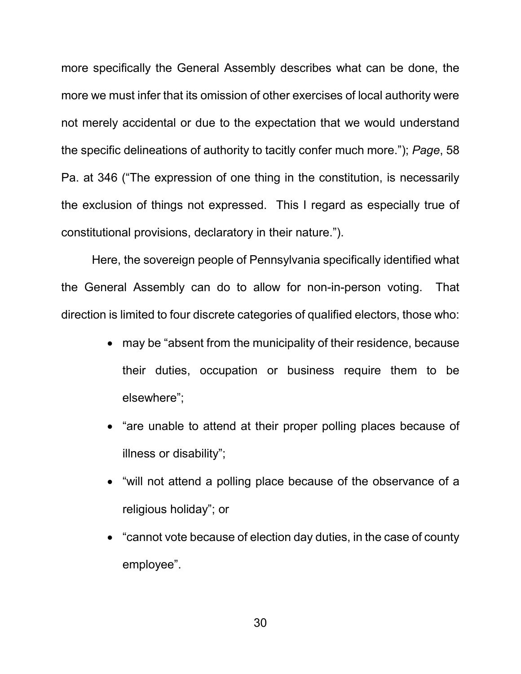more specifically the General Assembly describes what can be done, the more we must infer that its omission of other exercises of local authority were not merely accidental or due to the expectation that we would understand the specific delineations of authority to tacitly confer much more."); *Page*, 58 Pa. at 346 ("The expression of one thing in the constitution, is necessarily the exclusion of things not expressed. This I regard as especially true of constitutional provisions, declaratory in their nature.").

Here, the sovereign people of Pennsylvania specifically identified what the General Assembly can do to allow for non-in-person voting. That direction is limited to four discrete categories of qualified electors, those who:

- may be "absent from the municipality of their residence, because their duties, occupation or business require them to be elsewhere";
- "are unable to attend at their proper polling places because of illness or disability";
- "will not attend a polling place because of the observance of a religious holiday"; or
- "cannot vote because of election day duties, in the case of county employee".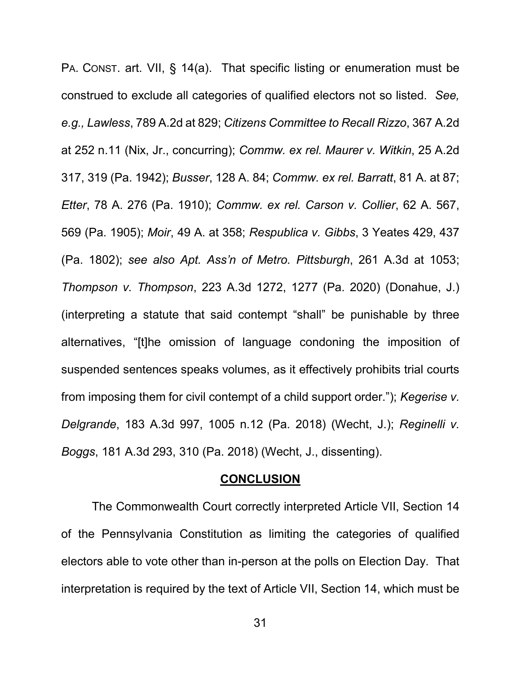<span id="page-36-12"></span><span id="page-36-11"></span><span id="page-36-8"></span><span id="page-36-7"></span><span id="page-36-5"></span><span id="page-36-4"></span><span id="page-36-3"></span><span id="page-36-2"></span>PA. CONST. art. VII, § 14(a). That specific listing or enumeration must be construed to exclude all categories of qualified electors not so listed. *See, e.g., Lawless*, 789 A.2d at 829; *Citizens Committee to Recall Rizzo*, 367 A.2d at 252 n.11 (Nix, Jr., concurring); *Commw. ex rel. Maurer v. Witkin*, 25 A.2d 317, 319 (Pa. 1942); *Busser*, 128 A. 84; *Commw. ex rel. Barratt*, 81 A. at 87; *Etter*, 78 A. 276 (Pa. 1910); *Commw. ex rel. Carson v. Collier*, 62 A. 567, 569 (Pa. 1905); *Moir*, 49 A. at 358; *Respublica v. Gibbs*, 3 Yeates 429, 437 (Pa. 1802); *see also Apt. Ass'n of Metro. Pittsburgh*, 261 A.3d at 1053; *Thompson v. Thompson*, 223 A.3d 1272, 1277 (Pa. 2020) (Donahue, J.) (interpreting a statute that said contempt "shall" be punishable by three alternatives, "[t]he omission of language condoning the imposition of suspended sentences speaks volumes, as it effectively prohibits trial courts from imposing them for civil contempt of a child support order."); *Kegerise v. Delgrande*, 183 A.3d 997, 1005 n.12 (Pa. 2018) (Wecht, J.); *Reginelli v. Boggs*, 181 A.3d 293, 310 (Pa. 2018) (Wecht, J., dissenting).

#### <span id="page-36-10"></span><span id="page-36-9"></span><span id="page-36-6"></span><span id="page-36-1"></span>**CONCLUSION**

<span id="page-36-0"></span>The Commonwealth Court correctly interpreted Article VII, Section 14 of the Pennsylvania Constitution as limiting the categories of qualified electors able to vote other than in-person at the polls on Election Day. That interpretation is required by the text of Article VII, Section 14, which must be

31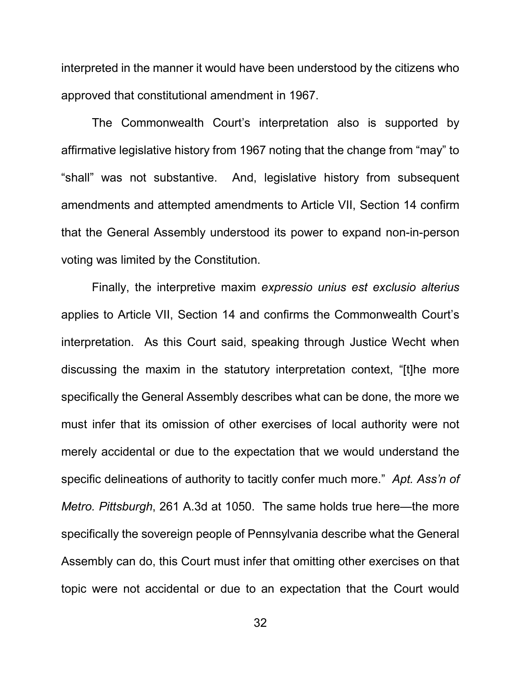interpreted in the manner it would have been understood by the citizens who approved that constitutional amendment in 1967.

The Commonwealth Court's interpretation also is supported by affirmative legislative history from 1967 noting that the change from "may" to "shall" was not substantive. And, legislative history from subsequent amendments and attempted amendments to Article VII, Section 14 confirm that the General Assembly understood its power to expand non-in-person voting was limited by the Constitution.

<span id="page-37-0"></span>Finally, the interpretive maxim *expressio unius est exclusio alterius*  applies to Article VII, Section 14 and confirms the Commonwealth Court's interpretation. As this Court said, speaking through Justice Wecht when discussing the maxim in the statutory interpretation context, "[t]he more specifically the General Assembly describes what can be done, the more we must infer that its omission of other exercises of local authority were not merely accidental or due to the expectation that we would understand the specific delineations of authority to tacitly confer much more." *Apt. Ass'n of Metro. Pittsburgh*, 261 A.3d at 1050. The same holds true here—the more specifically the sovereign people of Pennsylvania describe what the General Assembly can do, this Court must infer that omitting other exercises on that topic were not accidental or due to an expectation that the Court would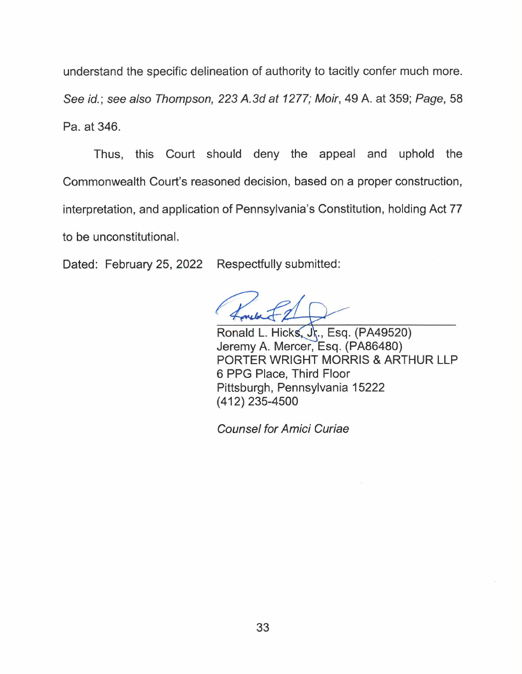understand the specific delineation of authority to tacitly confer much more. See id.; see also Thompson, 223 A.3d at 1277; Moir, 49 A. at 359; Page, 58 Pa. at 346.

Thus, this Court should deny the appeal and uphold the Commonwealth Court's reasoned decision, based on a proper construction, interpretation, and application of Pennsylvania's Constitution, holding Act 77 to be unconstitutional.

Dated: February 25, 2022 Respectfully submitted:

Ronald L. Hicks, Jr., Esq. (PA49520) Jeremy A. Mercer, Esq. (PA86480) PORTER WRIGHT MORRIS & ARTHUR LLP 6 PPG Place, Third Floor Pittsburgh, Pennsylvania 15222 (412) 235-4500

Counsel for Amici Curiae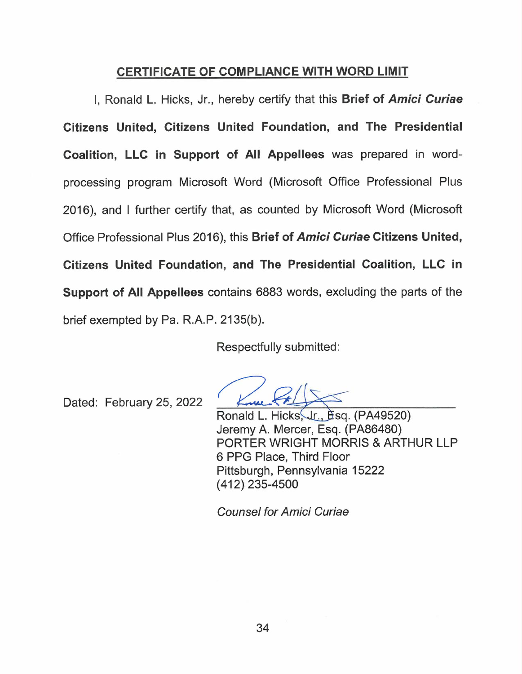### CERTIFICATE OF COMPLIANCE WITH WORD LIMIT

I, Ronald L. Hicks, Jr., hereby certify that this Brief of Amici Curiae Citizens United, Citizens United Foundation, and The Presidential Coalition, LLC in Support of All Appellees was prepared in wordprocessing program Microsoft Word (Microsoft Office Professional Plus 2016), and I further certify that, as counted by Microsoft Word (Microsoft Office Professional Plus 2016), this Brief of Amici Curiae Citizens United, Citizens United Foundation, and The Presidential Coalition, LLC in Support of All Appellees contains 6883 words, excluding the parts of the brief exempted by Pa. R.A.P. 2135(b).

Respectfully submitted:

Dated: February 25, 2022

Ronald L. Hicks, Jr., Esq. (PA49520) Jeremy A. Mercer, Esq. (PA86480) PORTER WRIGHT MORRIS & ARTHUR LLP 6 PPG Place, Third Floor Pittsburgh, Pennsylvania 15222 (412) 235-4500

Counsel for Amici Curiae